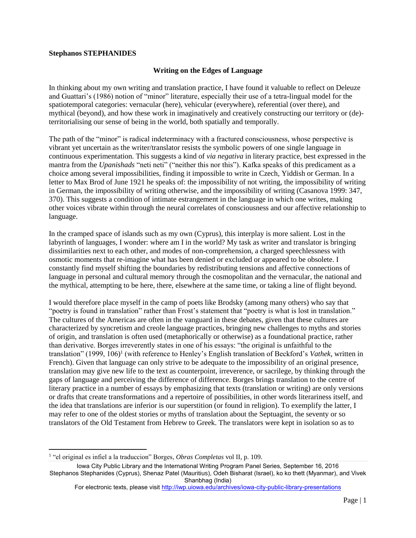## **Stephanos STEPHANIDES**

## **Writing on the Edges of Language**

In thinking about my own writing and translation practice, I have found it valuable to reflect on Deleuze and Guattari's (1986) notion of "minor" literature, especially their use of a tetra-lingual model for the spatiotemporal categories: vernacular (here), vehicular (everywhere), referential (over there), and mythical (beyond), and how these work in imaginatively and creatively constructing our territory or (de) territorialising our sense of being in the world, both spatially and temporally.

The path of the "minor" is radical indeterminacy with a fractured consciousness, whose perspective is vibrant yet uncertain as the writer/translator resists the symbolic powers of one single language in continuous experimentation. This suggests a kind of *via negativa* in literary practice, best expressed in the mantra from the *Upanishads* "neti neti" ("neither this nor this"). Kafka speaks of this predicament as a choice among several impossibilities, finding it impossible to write in Czech, Yiddish or German. In a letter to Max Brod of June 1921 he speaks of: the impossibility of not writing, the impossibility of writing in German, the impossibility of writing otherwise, and the impossibility of writing (Casanova 1999: 347, 370). This suggests a condition of intimate estrangement in the language in which one writes, making other voices vibrate within through the neural correlates of consciousness and our affective relationship to language.

In the cramped space of islands such as my own (Cyprus), this interplay is more salient. Lost in the labyrinth of languages, I wonder: where am I in the world? My task as writer and translator is bringing dissimilarities next to each other, and modes of non-comprehension, a charged speechlessness with osmotic moments that re-imagine what has been denied or excluded or appeared to be obsolete. I constantly find myself shifting the boundaries by redistributing tensions and affective connections of language in personal and cultural memory through the cosmopolitan and the vernacular, the national and the mythical, attempting to be here, there, elsewhere at the same time, or taking a line of flight beyond.

I would therefore place myself in the camp of poets like Brodsky (among many others) who say that "poetry is found in translation" rather than Frost's statement that "poetry is what is lost in translation." The cultures of the Americas are often in the vanguard in these debates, given that these cultures are characterized by syncretism and creole language practices, bringing new challenges to myths and stories of origin, and translation is often used (metaphorically or otherwise) as a foundational practice, rather than derivative. Borges irreverently states in one of his essays: "the original is unfaithful to the translation" (1999, 106) 1 (with reference to Henley's English translation of Beckford's *Vathek*, written in French). Given that language can only strive to be adequate to the impossibility of an original presence, translation may give new life to the text as counterpoint, irreverence, or sacrilege, by thinking through the gaps of language and perceiving the difference of difference. Borges brings translation to the centre of literary practice in a number of essays by emphasizing that texts (translation or writing) are only versions or drafts that create transformations and a repertoire of possibilities, in other words literariness itself, and the idea that translations are inferior is our superstition (or found in religion). To exemplify the latter, I may refer to one of the oldest stories or myths of translation about the Septuagint, the seventy or so translators of the Old Testament from Hebrew to Greek. The translators were kept in isolation so as to

 $\overline{\phantom{a}}$ 

<sup>1</sup> "el original es infiel a la traduccion" Borges, *Obras Completas* vol II, p. 109.

Iowa City Public Library and the International Writing Program Panel Series, September 16, 2016 Stephanos Stephanides (Cyprus), Shenaz Patel (Mauritius), Odeh Bisharat (Israel), ko ko thett (Myanmar), and Vivek Shanbhag (India)

For electronic texts, please visit <http://iwp.uiowa.edu/archives/iowa-city-public-library-presentations>